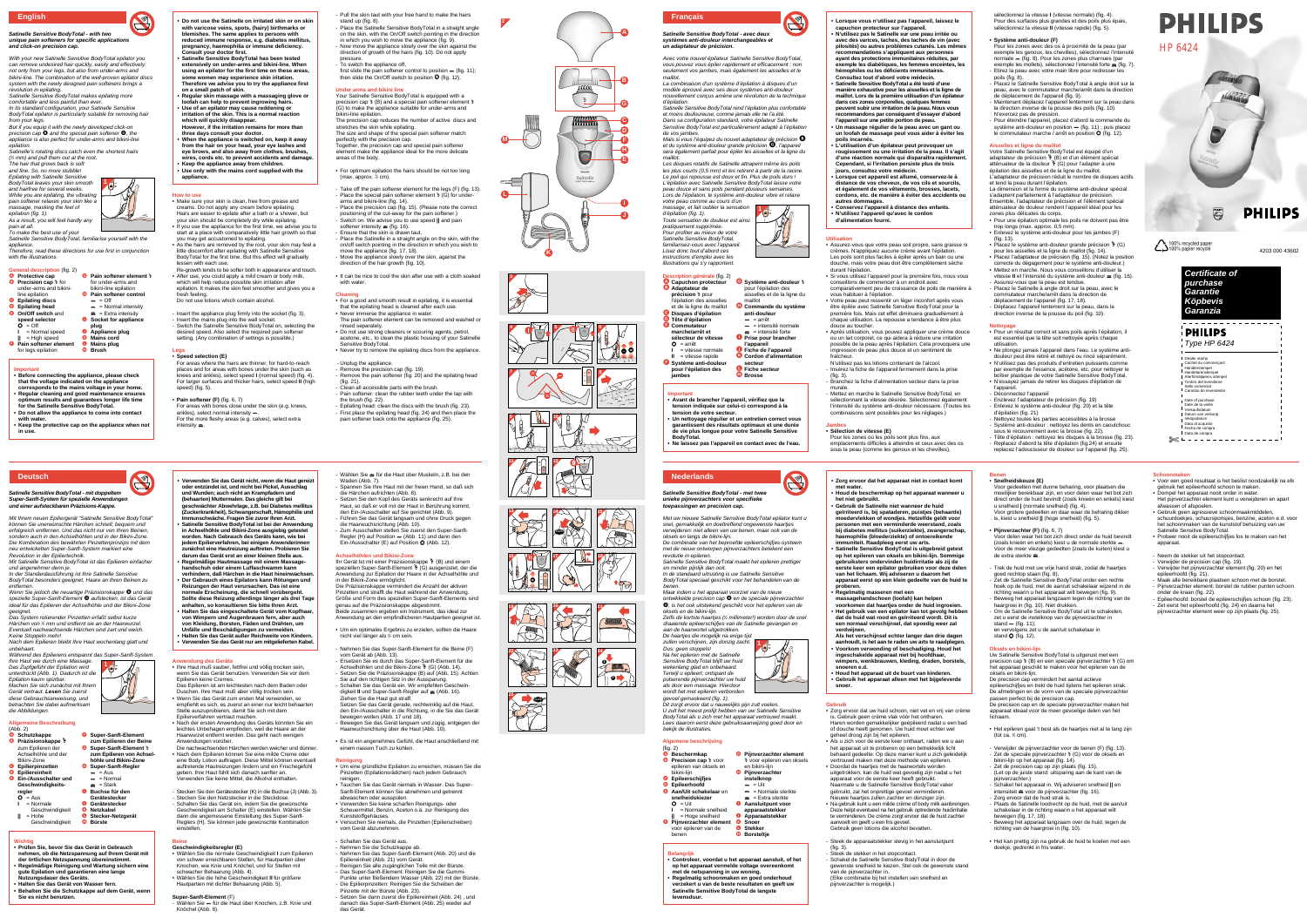### **Satinelle Sensitive BodyTotal - with two unique pain softeners for specific applications and click-on precision cap.**

With your new Satinelle Sensitive BodyTotal epilator you can remove undesired hair quickly, easily and effectively: not only from your legs, but also from under-arms and bikini-line. The combination of the well-proven epilator discs system with the newly designed pain softeners brings a revolution in epilating.

Satinelle Sensitive BodyTotal makes epilating more

Satinelle's rotating discs catch even the shortest hairs ( 1 ⁄2 mm) and pull them out at the root. The hair that grows back is soft

comfortable and less painful than ever.

In its standard configuration, your Satinelle Sensitive BodyTotal epilator is particularly suitable for removing hair from your legs. But if you equip it with the newly developed click-on<br>precision cap  $\bm{\Theta}$  and the special pain softener  $\bm{\Theta}$ , the

epilation (fig. 1). As a result, you will feel hardly any pain at all.

To make the best use of you. Satinelle Sensitive BodyTotal, familiarise yourself with the

appliance. Therefore, read these directions for use first in conjunction with the illustrations

**English <sup>2</sup> • Do not use the Satinelle on irritated skin or on skin** - Pull the skin taut with your free hand to make the hairs stand up (fig. 8). Place the Satinelle Sensitive BodyTotal in a straight angle on the skin, with the On/Off switch pointing in the direction in which you wish to move the appliance (fig. 9). Now move the appliance slowly over the skin against the

appliance is also perfect for under-arms and bikini-line epilation.

A **Protective cap B** Precision cap \ for under-arms and bikiniline epilation C **Epilating discs** D **Epilating head** E **On/Off switch** and **speed selector**  $O = Off$ **I** = Normal speed G **Pain softener element** ' for under-arms and bikini-line epilation **O** Pain softener control  $=$   $\alpha$ ff  $\sim$  = Normal intensity  $=$  Extra intensity **Socket for appliance plug O** Appliance plug

and fine. So, no more stubble! Epilating with Satinelle Sensitive BodyTotal leaves your skin smooth and hairfree for several weeks. While you are epilating, the vibrating pain softener relaxes your skin like a massage, masking the feel of

**A**

**C D**

**J**

**L**

 $=$   $=$ 

**M**

**K**

**F H**

**I**

**E**

 $\Theta$ 

Satinelle

**G**

**B**

**24**

**2**

**1**

**14**

**10**

**3**

**4 5**

**7**

**6**

**12**

**9**

**8**

 $\ll$ 

 $\mathbb{R}^3$ 

 $\begin{picture}(42,17) \put(0,0){\line(1,0){155}} \put(15,0){\line(1,0){155}} \put(15,0){\line(1,0){155}} \put(15,0){\line(1,0){155}} \put(15,0){\line(1,0){155}} \put(15,0){\line(1,0){155}} \put(15,0){\line(1,0){155}} \put(15,0){\line(1,0){155}} \put(15,0){\line(1,0){155}} \put(15,0){\line(1,0){155}} \put(15,0){\line(1,0){155}} \$ 

**11**

**FD** 

**CLICK**

**25**

**20**

**19 20 20 21** 

**13**

**22 23**

**15**

**CLICK** 

 $\mathbb{Q}$ 

 $\sum_{i=1}^{n}$ 

**16 17** 

**1**

### **General description** (fig. 2)

**||** = High speed **G** Pain softener element for legs epilation  $\bullet$  Mains cord **O** Mains plug M **Brush**

### **Important**

- **Before connecting the appliance, please check that the voltage indicated on the appliance corresponds to the mains voltage in your home. • Regular cleaning and good maintenance ensures optimum results and guarantees longer life time for the Satinelle Sensitive BodyTotal. • Do not allow the appliance to come into contact with water.**
- **Keep the protective cap on the appliance when not in use.**

Your Satinelle Sensitive BodyTotal is equipped with a precision cap  $\ast$  (B) and a special pain softener element  $\ast$ (G) to make the appliance suitable for under-arms and bikini-line epilation.

### **How to use** • Make sure your skin is clean, free from grease and

- For a good and smooth result in epilating, it is essential that the epilating head is cleaned after each use.
- Never immerse the appliance in water. The pain softener element can be removed and washed or
- rinsed separately. • Do not use strong cleaners or scouring agents, petrol, acetone, etc., to clean the plastic housing of your Satinelle
- Sensitive BodyTotal. • Never try to remove the epilating discs from the appliance.
- Unplug the appliance. Remove the precision cap (fig. 19).
- creams. Do not apply any cream before epilating. Hairs are easier to epilate after a bath or a shower, but your skin should be completely dry while epilating. • If you use the appliance for the first time, we advise you to start at a place with comparatively little hair growth so that
- you may get accustomed to epilating. • As the hairs are removed by the root, your skin may feel a little discomfort after epilating with Satinelle Sensitive BodyTotal for the first time. But this effect will gradually
- lessen with each use. Re-growth tends to be softer both in appearance and touch. • After use, you could apply a mild cream or body milk, which will help reduce possible skin irritation after epilation. It makes the skin feel smoother and gives you a
- fresh feeling. Do not use lotions which contain alcohol.
- Insert the appliance plug firmly into the socket (fig. 3). - Insert the mains plug into the wall socket. - Switch the Satinelle Sensitive BodyTotal on, selecting the desired speed. Also select the required pain softener setting. (Any combination of settings is possible.)
- **Legs** • **Speed selection (E)**

intensity  $\blacktriangleright$ .

- Remove the pain softener (fig. 20) and the epilating head (fig. 21). - Clean all accessible parts with the brush.
- Pain softener: clean the rubber teeth under the tap with the brush (fig. 22).
- Epilating head: clean the discs with the brush (fig. 23). - First place the epilating head (fig. 24) and then place the pain softener back onto the appliance (fig. 25).

Wählen Sie = für die Haut über Muskeln, z.B. bei den

La combinaison d'un système d'épilation à disques d'un modèle éprouvé avec ses deux systèmes anti-douleur nouvellement concus amène une révolution de la technique

direction of growth of the hairs (fig. 10). Do not apply pressure. - To switch the appliance off,

first slide the pain softener control to position  $-$  (fig. 11);<br>then slide the On/Off switch to position  $\bf{O}$  (fig. 12).

### **Under arms and bikini line**

The precision cap reduces the number of active discs and stretches the skin while epilating. The size and shape of the special pain softener match perfectly with the precision cap.

### **ption générale** (fig. 2) A **Capuchon protecteur**

**B** Adaptateur de précision <sup>»</sup> pour

C **Disques d'épilation** D **Tête d'épilation B** Commutateur **marche/arrêt et sélecteur de vitesse**   $O = arrêt$ 

> **I** = vitesse normale = vitesse rapide

Together, the precision cap and special pain softener element make the appliance ideal for the more delicate areas of the body.

• For optimum epilation the hairs should be not too long (max. approx. 1 ⁄2 cm).

Take off the pain softener element for the legs (F) (fig. 13). Place the special pain softener element  $\ast$  (G) for underarms and bikini-line (fig. 14). Place the precision cap (fig. 15). (Please note the correct

- positioning of the cut-away for the pain softener.) - Switch on. We advise you to use speed **||** and pain softener intensity  $\equiv$  (fig. 16).
- Ensure that the skin is drawn taut. - Place the Satinelle in a straight angle on the skin, with the on/off switch pointing in the direction in which you wish to
- move the appliance (fig. 17, 18). - Move the appliance slowly over the skin, against the direction of the hair growth (fig. 10).
- It can be nice to cool the skin after use with a cloth soaked with water.

### **Cleaning**

sélectionnez la vitesse **I** (vitesse normale) (fig. 4). Pour des surfaces plus grandes et des poils plus épais, sélectionnez la vitesse **II** (vitesse rapide) (fig. 5).

adaptateur de précision  $\ast$  (B) et d'un élément spécial atténuateur de la douleur  $\bullet$  (G) pour l'adapter à une épilation des aisselles et de la ligne du maillot. L'adaptateur de précision réduit le nombre de disques actifs

> **Certificate of purchase Garantie Köpbevis Garanzia**

 $\bigoplus_{n=1}^{\infty}$ 

 $\sum$ 100% recycled pape

Type HP 6424

**PHILIPS** 

Dealer stamp

Cachet du commerçant Händlerstempel Handelarenstempel Aterförsäljarens stämpel Timbro del rivenditore Sello comercial Carimbo do revendedor

Date of purchase Date de la vente Verkaufsdatum Datum van verkoop

Inköpsdatum Data di acquisto Fecha de compra Data de compra

Nettoyez toutes les parties accessibles à la brosse - Système anti-douleur : nettoyez les dents en caoutchouc sous le recouvrement avec la brosse (fig. 22). Tête d'épilation : nettoyez les disques à la brosse (fig. 23). - Replacez d'abord la tête d'épilation (fig.24) et ensuite replacez l'adoucisseur de douleur sur l'appareil (fig. 25).

> gebruik het epileerhoofd schoon te maken. Dompel het apparaat nooit onder in water

- **with varicose veins, spots, (hairy) birthmarks or blemishes. The same applies to persons with reduced immune response, e.g. diabetes mellitus, pregnancy, haemophilia or immune deficiency.**
- **Consult your doctor first. • Satinelle Sensitive BodyTotal has been tested extensively on under-arms and bikini-line. When using an epilator for the first time on these areas, some women may experience skin iritation. Therefore we advise you to try the appliance first**
- **on a small patch of skin. • Regular skin massage with a massaging glove or loofah can help to prevent ingrowing hairs. • Use of an epilator may cause reddening or irritation of the skin. This is a normal reaction**
- **which will quickly disappear. However, if the irritation remains for more than three days consult your doctor.**
- **When the appliance is switched on, keep it away from the hair on your head, your eye lashes and eye brows, and also away from clothes, brushes, wires, cords etc. to prevent accidents and damage.**
- **Keep the appliance away from children. • Use only with the mains cord supplied with the appliance.**

### **Satinelle Sensitive BodyTotal - avec deux** systèmes anti-douleur interchangeables e **un adaptateur de précision.**

Avec votre nouvel épilateur Satinelle Sensitive BodyTotal, vous pouvez vous épiler rapidement et efficacement : non seulement vos jambes, mais également les aisselles et le

maillot.

d'épilation.

Satinelle Sensitive BodyTotal rend l'épilation plus confortable et moins douloureuse, comme jamais elle ne l'a été. Dans sa configuration standard, votre épilateur Satinelle Sensitive BodyTotal est particulièrement adapté à l'épilation

de vos jambes. Mais si vous l'équipez du nouvel adaptateur de précision B et du système anti-douleur grande précision G, l'appareil sera également parfait pour épiler les aisselles et la ligne du

maillot.

Les disques rotatifs de Satinelle attrapent même les poils les plus courts (0,5 mm) et les retirent à partir de la racine Le poil qui repousse est doux et fin. Plus de poils durs ! L'épilation avec Satinelle Sensitive BodyTotal laisse votre peau douce et sans poils pendant plusieurs semaines. Lors de l'épilation, le système anti-douleur vibre et relaxe

oel gemaskeerd (fig. 1). Dit zorgt ervoor dat u nauwelijks pijn zult voelen. U zult het meest profijt hebben van uw Satinelle Sensitive BodyTotal als u zich met het apparaat vertrouwd maakt. Lees daarom eerst deze gebruiksaanwijzing goed door en bekijk de illustraties.

votre peau comme au cours d'un massage, et fait oublier la sensation d'épilation (fig. 1). Toute sensation de douleur est ainsi pratiquement supprimée. Pour profiter au mieux de votre Satinelle Sensitive BodyTotal, familiarisez-vous avec l'appareil. Lisez donc tout d'abord ces instructions d'emploi avec les illustrations qui s'y rapportent.

> en bikini-lijn Pijnverzachte **instelknop**  $-$  = Uit

# **Français**

**1**

**jambes**

**Important** 

## **Utilisation**

Voor delen waar het bot zich direct onder de huid bevindt<br>(zoals knieën en enkels) kiest u de normale sterkte —. Voor de meer vlezige gedeelten (zoals de kuiten) kiest u

- Zet de Satinelle Sensitive BodyTotal onder een rechte hoek op de huid, met de aan/uit schakelaar wijzend in de richting waarin u het apparaat wilt bewegen (fig. 9). Beweeg het apparaat langzaam tegen de richting van de

- Assurez-vous que votre peau soit propre, sans graisse ni crèmes. N'appliquez aucune crème avant l'épilation. Les poils sont plus faciles à épiler après un bain ou une douche, mais votre peau doit être complètement sèche durant l'épilation.
- Si vous utilisez l'appareil pour la première fois, nous vous conseillons de commencer à un endroit avec comparativement peu de croissance de poils de manière à vous habituer à l'épilation.
- Votre peau peut ressentir un léger inconfort après vous être épilée avec Satinelle Sensitive BodyTotal pour la première fois. Mais cet effet diminuera graduellement à chaque utilisation. La repousse a tendance à être plus
- douce au toucher. • Après utilisation, vous pouvez appliquer une crème douce ou un lait corporel, ce qui aidera à réduire une irritation possible de la peau après l'épilation. Cela provoquera une impression de peau plus douce et un sentiment de
- fraîcheur. N'utilisez pas les lotions contenant de l'alcool. - Insérez la fiche de l'appareil fermement dans la prise
- (fig. 3). - Branchez la fiche d'alimentation secteur dans la prise
- murale. - Mettez en marche le Satinelle Sensitive BodyTotal, en sélectionnant la vitesse désirée. Sélectionnez également l'intensité du système anti-douleur nécessaire. (Toutes les
- combinaisons sont possibles pour les réglages.) **Jambes**

- Schakel het apparaat in. Wij adviseren snelheid **||** en intensiteit  $\equiv$  voor de pijnverzachter (fig. 16).

## **• Sélection de vitesse (E)**

## **• Système anti-douleur (F)**

- Pour les zones avec des os à proximité de la peau (par exemple les genoux, les chevilles), sélectionnez l'intensité normale  $-$  (fig. 8). Pour les zones plus charnues (par exemple les mollets), sélectionnez l'intensité forte  $\equiv$  (fig. 7). - Etirez la peau avec votre main libre pour redresser le poils (fig. 8).
- Placez le Satinelle Sensitive BodyTotal à angle droit sur la peau, avec le commutateur marche/arrêt dans la direction de déplacement de l'appareil (fig. 9). Maintenant déplacez l'appareil lentement sur la peau dans
- la direction inverse de la pousse des poils (fig. 10). N'exercez pas de pression. - Pour éteindre l'appareil, placez d'abord la commande du
- système anti-douleur en position  $-$  (fig. 11) ; puis placez le commutateur marche / arrêt en position  $\overline{O}$  (fig. 12).

entfernen.<br>Wenn Sie jedoch die neuartige Präzisionskappe ❶ und das spezielle Super-Sanft-Element <sup>o</sup> aufstecken, ist das Gerät ideal für das Epilieren der Achselhöhle und der Bikini-Zone geeignet.

### **Aisselles et ligne du maillot** Votre Satinelle Sensitive BodyTotal est équipé d'un

et tend la peau durant l'épilation. La dimension et la forme du système anti-douleur spécial

**G** Super-Sanft-Element **zum Epilieren der Beine** G **Super-Sanft-Element** ' **zum Epilieren von Achselhöhle und Bikini-Zone** H **Super-Sanft-Regler**  $\overline{\phantom{a}}$  = Aus  $=$  Normal  $\equiv$  = Stark I **Buchse für den Gerätestecker** J **Gerätestecker**

- s'adaptent parfaitement à l'adaptateur de précision. Ensemble, l'adaptateur de précision et l'élément spécial atténuateur de douleur rendent l'appareil idéal pour les zones plus délicates du corps.
- Pour une épilation optimale les poils ne doivent pas être trop longs (max. approx. 0,5 mm).
- Enlevez le système anti-douleur pour les jambes (F) (fig. 13). • Placez le système anti-douleur grande précision ' (G)
- pour les aisselles et la ligne du maillot (fig. 14).
- Placez l'adaptateur de précision (fig. 15). (Notez la position correcte du dégagement pour le système anti-douleur.) • Mettez en marche. Nous vous conseillons d'utiliser la
- vitesse **II** et l'intensité du système anti-douleur  $\equiv$  (fig. 16). - Assurez-vous que la peau est tendue. - Placez le Satinelle à angle droit sur la peau, avec le commutateur marche/arrêt dans la direction de

- Ihre Haut muß sauber, fettfrei und völlig trocken sein, wenn Sie das Gerät benutzen. Verwenden Sie vor dem Epilieren keine Cremes.
- Das Epilieren ist am leichtesten nach dem Baden oder Duschen. Ihre Haut muß aber völlig trocken sein. • Wenn Sie das Gerät zum ersten Mal verwenden, so empfiehlt es sich, es zuerst an einer nur leicht behaarten Stelle auszuprobieren, damit Sie sich mit dem
- Epilierverfahren vertraut machen. • Nach der ersten Anwendung des Geräts könnten Sie ein leichtes Unbehagen empfinden, weil die Haare an der
- Haarwurzel entfernt werden. Das geht nach wenigen Anwendungen vorüber. Die nachwachsenden Härchen werden weicher und dünner. • Nach dem Epilieren können Sie eine milde Creme oder
- eine Body Lotion auftragen. Diese Mittel können eventuell auftretende Hautreizungen lindern und ein Frischegefühl geben. Ihre Haut fühlt sich danach sanfter an. Verwenden Sie keine Mittel, die Alkohol enthalten.
- Stecken Sie den Gerätestecker (K) in die Buchse (J) (Abb. 3). Stecken Sie den Netzstecker in die Steckdose.
- Schalten Sie das Gerät ein, indem Sie die gewünschte Geschwindigkeit am Schalter (E) einstellen. Wählen Sie dann die angemessene Einstellung des Super-Sanft-

déplacement de l'appareil (fig. 17, 18). Déplacez l'appareil lentement sur la peau, dans la direction inverse de la pousse du poil (fig. 10).

# **Nettoyage**

- Pour un résultat correct et sans poils après l'épilation, il est essentiel que la tête soit nettoyée après chaque utilisation.
- Ne plongez jamais l'appareil dans l'eau. Le système anti-
- douleur peut être retiré et nettoyé ou rincé séparément. • N'utilisez pas des produits d'entretien puissants comme par exemple de l'essence, acétone, etc. pour nettoyer le
- boîtier plastique de votre Satinelle Sensitive BodyTotal. • N'essayez jamais de retirer les disques d'épilation de l'appareil.

Zum Ausschalten stellen Sie zuerst den Super-Sanft-Regler (H) auf Position  $-$  (Abb. 11) und dann den Ein-/Ausschalter (E) auf Position O (Abb. 12).

Ihr Gerät Ist mit einer Präzisionskappe \ (B) und einem speziellen Super-Sanft-Element \ (G) ausgerüstet, der die Anwendung zur Epilation der Haare in der Achselhöhle und

Die Präzisionskappe vermindert die Anzahl der aktiven Pinzetten und strafft die Haut während der Anwendung. Größe und Form des speziellen Super-Sanft-Elements sind - Déconnectez l'appareil - Enzlevez l'adaptateur de précision (fig. 19)

- Enlevez le système anti-douleur (fig. 20) et la tête

d'épilation (fig. 21)

- Ersetzen Sie es durch das Super-Sanft-Element für die Achselhöhlen und die Bikini-Zone \ (G) (Abb. 14). - Setzen Sie die Präzisionskappe (B) auf (Abb. 15). Achten Sie auf den richtigen Sitz in der Aussparung. - Schalten Sie das Gerät ein. Wir empfehlen Geschwin-<br>digkeit **II** und Super-Sanft-Regler auf *⇒* (Abb. 16).

• Um eine gründliche Epilation zu erreichen, müssen Sie die Pinzetten (Epilationsrädchen) nach jedem Gebrauch

**Schoonmaken**

• Voor een goed resultaat is het beslist noodzakelijk na elk

Het pijnverzachter element kunt u verwijderen en apart

afwassen of afspoelen.

• Gebruik geen agressieve schoonmaakmiddelen,

schuurdoekjes, schuursponsjes, benzine, aceton e.d. voor het schoonmaken van de kunststof behuizing van uw

Satinelle Sensitive BodyTotal.

• Probeer nooit de epileerschijfjes los te maken van het

apparaat.

- Neem de stekker uit het stopcontact. - Verwijder de precision cap (fig. 19).

 $\gg c$ --------------

- Verwijder het pijnverzachter element (fig. 20) en het

epileerhoofd (fig. 21).

- Maak alle bereikbare plaatsen schoon met de borstel. - Pijnverzachter element: borstel de rubber punten schoon

onder de kraan (fig. 22).

- Epileerhoofd: borstel de epileerschijfjes schoon (fig. 23). - Zet eerst het epileerhoofd (fig. 24) en daarna het pijnverzachter element weer op zijn plaats (fig. 25).

- **• Lorsque vous n'utilisez pas l'appareil, laissez le capuchon protecteur sur l'appareil.**
	- **• N'utilisez pas le Satinelle sur une peau irritée ou avec des varices, taches, des taches de vin (avec pilosités) ou autres problèmes cutanés. Les mêmes**
	- **recommandations s'appliquent aux personnes ayant des protections immunitaires réduites, par exemple les diabétiques, les femmes enceintes, les hémophiles ou les déficients immunitaires. Consultez tout d'abord votre médecin. • Satinelle Sensitive BodyTotal a été testé d'une**
	- **manière exhaustive pour les aisselles et la ligne de maillot. Lors de la première utilisation d'un épilateur dans ces zones corporelles, quelques femmes peuvent subir une irritation de la peau. Nous vous recommandons par conséquent d'essayer d'abord**
	- **l'appareil sur une petite portion de peau. • Un massage régulier de la peau avec un gant ou un loofah de massage peut vous aider à éviter les poils incarnés.**
	- **• L'utilisation d'un épilateur peut provoquer un rougissement ou une irritation de la peau. Il s'agit** d'une réaction normale qui disparaîtra rapi
	- **Cependant, si l'irritation persiste plus de trois jours, consultez votre médecin. • Lorsque cet appareil est allumé, conservez-le à distance de vos cheveux, de vos cils et sourcils,**
	- **et également de vos vêtements, brosses, lacets, cordons, etc. de manière à éviter des accidents ou autres dommages. • Conservez l'appareil à distance des enfants.**
	- **• N'utilisez l'appareil qu'avec le cordon d'alimentation fourni.**

- Pour les zones où les poils sont plus fins, aux emplacements difficiles à atteindre et ceux avec des os sous la peau (comme les genoux et les chevilles),
- **• Zorg ervoor dat het apparaat niet in contact komt**
- **met water. • Houd de beschermkap op het apparaat wanneer u**
- **het niet gebruikt. • Gebruik de Satinelle niet wanneer de huid**
- **geïrriteerd is, bij spataderen, puistjes (behaarde) moedervlekken of wondjes. Hetzelfde geldt voor personen met een verminderde weerstand, zoals bij diabetes mellitus (suikerziekte), zwangerschap,** haemophilie (bloederziekte) of ontoereik **immuniteit. Raadpleeg eerst uw arts.**
- For areas where the hairs are thinner, for hard-to-reach places and for areas with bones under the skin (such as knees and ankles), select speed **I** (normal speed) (fig. 4). For larger surfaces and thicker hairs, select speed **II** (high speed) (fig. 5).
- **Pain softener (F)** (fig. 6, 7) For areas with bones close under the skin (e.g. knees,<br>ankles), select normal intensity —. For the more fleshy areas (e.g. calves), select extra
- **• Verwenden Sie das Gerät nicht, wenn die Haut gereizt oder entzündet ist, und nicht bei Pickel, Ausschlag und Wunden; auch nicht an Krampfadern und (behaarten) Muttermalen. Das gleiche gilt bei geschwächter Abwehrlage, z.B. bei Diabetes mellitus (Zuckerkrankheit), Schwangerschaft, Hämophilie und**
- **Immunschwäche. Fragen Sie zuvor Ihren Arzt. • Satinelle Sensitive BodyTotal ist bei der Anwendung in Achselhöhle und Bikini-Zone ausgiebig getestet worden. Nach Gebrauch des Geräts kann, wie bei**
- **jedem Epilierverfahren, bei einigen Anwenderinnen zunächst eine Hautreizung auftreten. Probieren Sie darum das Gerät erst an einer kleinen Stelle aus. • Regelmäßige Hautmassage mit einem Massage-**
- **handschuh oder einem Luffaschwamm kann verhindern, daß Härchen in die Haut hineinwachsen. • Der Gebrauch eines Epilators kann Rötungen und Reizungen der Haut verursachen. Das ist eine**
- **normale Erscheinung, die schnell vorübergeht. Sollte diese Reizung allerdings länger als drei Tage anhalten, so konsultieren Sie bitte Ihren Arzt. • Halten Sie das eingeschaltete Gerät vom Kopfhaar,**
- **von Wimpern und Augenbrauen fern, aber auch von Kleidung, Borsten, Fäden und Drähten, um Unfälle und Beschädigungen zu vermeiden. • Halten Sie das Gerät außer Reichweite von Kindern. • Verwenden Sie das Gerät nur am mitgelieferten Kabel.**

benen.

- **unieke pijnverzachters voor specifieke toepassingen en precision cap.**
- Met uw nieuwe Satinelle Sensitive BodyTotal epilator kunt u snel, gemakkelijk en doeltreffend ongewenste haartjes verwijderen: niet alleen van uw benen, maar ook van de
- oksels en langs de bikini-lijn. De combinatie van het beproefde epileerschijfjes-systeem met de nieuw ontworpen pijnverzachters betekent een revolutie in epileren.
- Satinelle Sensitive BodyTotal maakt het epileren prettiger en minder pijnlijk dan ooit. In de standaard uitrusting is uw Satinelle Sensitive
- BodyTotal speciaal geschikt voor het behandelen van de
- Maar indien u het apparaat voorziet van de nieuw ontwikkelde precision cap <sup>1</sup> en de speciale pijnverzachter G, is het ook uitstekend geschikt voor het epileren van de oksels en de bikini-lijn.
- Zelfs de kortste haartjes (½ millimeter!) worden door de snel draaiende epileerschijfjes van de Satinelle gevangen en
- aan de haarwortel uitgetrokken. De haartjes die mogelijk na enige tijd
- zullen verschijnen, zijn donzig zacht. Dus: geen stoppels! Na het epileren met de Satinelle Sensitive BodyTotal blijft uw huid
- wekenlang glad en onbehaard. Terwijl u epileert, ontspant de pulserende pijnverzachter uw huid als door een massage. Hierdoor wordt het met epileren verbonden

## **Satinelle Sensitive BodyTotal - met twee Nederlands**

## **Algemene beschrijving**

bikini-lijn

 $O = \text{Uit}$ 

benen

' voor epileren van oksels

 $\blacktriangleright$  = Normale sterkte

## **Gebruik**

- Zorg ervoor dat uw huid schoon, niet vet en vrij van crème is. Gebruik geen crème vlak vóór het ontharen. Haren worden gemakkelijker geëpileerd nadat u een bad of douche heeft genomen. Uw huid moet echter wel geheel droog zijn bij het epileren.
- Als u zich voor de eerste keer onthaart, raden we u aan het apparaat uit te proberen op een betrekkelijk licht
- behaard gedeelte. Op deze manier kunt u zich geleidelijk vertrouwd maken met deze methode van epileren. • Doordat de haartjes met de haarwortels worden uitgetrokken, kan de huid wat gevoelig zijn nadat u het
- apparaat voor de eerste keer heeft gebruikt. Naarmate u de Satinelle Sensitive BodyTotal vaker gebruikt, zal het onprettige gevoel verminderen. Nieuwe haartjes zullen zachter en donziger zijn. • Na gebruik kunt u een milde crème of body milk aanbrengen. Deze helpt eventueel na het gebruik optredende huidirritatie te verminderen. De crème zorgt ervoor dat de huid zachter
- aanvoelt en geeft u een fris gevoel. Gebruik geen lotions die alcohol bevatten. - Steek de apparaatstekker stevig in het aansluitpunt
- (fig. 3). Steek de stekker in het stopcontact.
- 
- Schakel de Satinelle Sensitive BodyTotal in door de
- gewenste snelheid te kiezen. Stel ook de gewenste stand van de pijnverzachter in. (Elke combinatie bij het instellen van snelheid en
- pijnverzachter is mogelijk.)

**Benen**

• **Snelheidskeuze (E)**

Voor gedeelten met dunne beharing, voor plaatsen die moeilijker bereikbaar zijn, en voor delen waar het bot zich direct onder de huid bevindt (zoals knieën en enkels) kiest

u snelheid **|** (normale snelheid) (fig. 4).

Voor grotere gedeelten en daar waar de beharing dikker is, kiest u snelheid **||** (hoge snelheid) (fig. 5).

• **Pijnverzachter (F)** (fig. 6, 7)

- Trek de huid met uw vrije hand strak, zodat de haartjes

goed rechtop staan (fig. 8).

- l'épilation des aisselles et de la ligne du maillot G **Système anti-douleur** ' pour l'épilation des aisselles et de la ligne du maillot
	- **C** Commande du système **anti-douleur**  $=$   $arrêt$  $=$  intensité normale
	- = intensité forte<br>  **Prise pour brancher l'appareil**
	- J **Fiche de l'appareil Cordon d'alimentation**
- *<u>B* Système anti-douleurs</u> **pour l'épilation des secteur** L **Fiche secteur**  M **Brosse**
	-
- **• Avant de brancher l'appareil, vérifiez que la tension indiquée sur celui-ci correspond à la tension de votre secteur.**
- **• Un nettoyage régulier et un entretien correct vous garantissent des résultats optimaux et une durée de vie plus longue pour votre Satinelle Sensitive**
- **BodyTotal. • Ne laissez pas l'appareil en contact avec de l'eau.**

haargroei in (fig. 10). Niet drukken.

de extra sterkte  $\equiv$ 

stand  $-$  (fig. 11);

- Om de Satinelle Sensitive BodyTotal uit te schakelen, zet u eerst de instelknop van de pijnverzachter in

en vervolgens zet u de aan/uit schakelaar in<br>stand **O** (fig. 12).

**Oksels en bikini-lijn** 

Uw Satinelle Sensitive BodyTotal is uitgerust met een precision cap \ (B) en een speciale pijnverzachter \ (G) om het apparaat geschikt te maken voor het epileren van de

oksels en bikini-lijn.

De precision cap vermindert het aantal actieve epileerschijfjes en trekt de huid tijdens het epileren strak. De afmetingen en de vorm van de speciale pijnverzachter

sen perfect bij de precision cap.

De precision cap en de speciale pijnverzachter maken het apparaat ideaal voor de meer gevoelige delen van het

lichaam.

• Het epileren gaat 't best als de haartjes niet al te lang zijn

(tot ca. 1

⁄2 cm).

- Verwijder de pijnverzachter voor de benen (F) (fig. 13). - Zet de speciale pijnverzachter ' (G) voor de oksels en

bikini-lijn op het apparaat (fig. 14). - Zet de precision cap op zijn plaats (fig. 15). (Let op de juiste stand: uitsparing aan de kant van de

pijnverzachter.)

- Zorg ervoor dat de huid strak is.

- Plaats de Satinelle loodrecht op de huid, met de aan/uit schakelaar in de richting waarin u het apparaat wilt

bewegen (fig. 17, 18).

- Beweeg het apparaat langzaam over de huid, tegen de

richting van de haargroei in (fig. 10).

doekje, gedrenkt in fris water

• Het kan prettig zijn na gebruik de huid te koelen met een

**• Satinelle Sensitive BodyTotal is uitgebreid getest op het epileren van oksels en bikini-lijn. Sommige gebruiksters ondervinden huidirritatie als zij de eerste keer een epilator gebruiken voor deze delen van het lichaam. Wij adviseren u daarom het apparaat eerst op een klein gedeelte van de huid te**

- **proberen. • Regelmatig masseren met een**
- **massagehandschoen (loofah) kan helpen voorkomen dat haartjes onder de huid ingroeien.**

**• Het gebruik van een epilator kan tot gevolg hebben dat de huid wat rood en geïrriteerd wordt. Dit is een normaal verschijnsel, dat spoedig weer zal verdwijnen.** 

**Als het verschijnsel echter langer dan drie dagen** aanhoudt, is het aan te raden uw arts te raad **• Voorkom verwonding of beschadiging. Houd het ingeschakelde apparaat niet bij hoofdhaar, wimpers, wenkbrauwen, kleding, draden, borstels,**

- **snoeren e.d. • Houd het apparaat uit de buurt van kinderen.**
- **• Gebruik het apparaat alleen met het bijgeleverde snoer.**

### **Satinelle Sensitive BodyTotal - mit doppeltem Super-Sanft-System für spezielle Anwendungen und einer aufsteckbaren Präzisions-Kappe.**

Mit Ihrem neuen Epiliergerät "Satinelle Sensitive BodyTotal" können Sie unerwünschte Härchen schnell, bequem und erfolgreich entfernen. Und das nicht nur von Ihren Beinen, sondern auch in den Achselhöhlen und in der Bikini-Zone. Die Kombination des bewährten Pinzettenprinzips mit dem

neu entwickelten Super-Sanft-System markiert eine Revolution in der Epiliertechnik. Mit Satinelle Sensitive BodyTotal ist das Epilieren einfacher

und angenehmer denn je. In der Standardausführung ist Ihre Satinelle Sensitive

BodyTotal besonders geeignet, Haare an Ihren Beinen zu

Das System rotierender Pinzetten erfaßt selbst kurze Härchen von 1 ⁄2 mm und entfernt sie an der Haarwurzel. Eventuell nachwachsende Härchen sind zart und weich.

Keine Stoppeln mehr! Nach dem Epilieren bleibt Ihre Haut wochenlang glatt und

unbehaart. Während des Epilierens entspannt das Super-Sanft-System Ihre Haut wie durch eine Massage. Das Zupfgefühl der Epilation wird unterdrückt (Abb. 1). Dadurch ist die **1**

Epilation kaum spürbar. Machen Sie sich zunächst mit Ihrem Gerät vertraut. **Lesen** Sie zuerst isung, und betrachten Sie dabei aufmerksam

- (fig. 2) A **Beschermkap B** Precision cap \ voor epileren van oksels en C **Epileerschijfjes** D **Epileerhoofd** *B* Aan/Uit schakelaar **snelheidskiezer** G **Pijnverzachter element**
- **I** = Normale snelheid **||** = Hoge snelheid  $\equiv$  = Extra sterkte I **Aansluitpunt voor** apparaatstek **O** Apparaatstekker
- **G** Pijnverzachter element **G** Snoer voor epileren van de **O** Stekker M **Borsteltje**
- **• Controleer, voordat u het apparaat aansluit, of het op het apparaat vermelde voltage overeenkomt met de netspanning in uw woning.**
- **• Regelmatig schoonmaken en goed onderhoud verzekert u van de beste resultaten en geeft uw Satinelle Sensitive BodyTotal de langste levensduur.**

die Abbildungen.

## **Deutsch**

### **Allgemeine Beschreibung**

#### (Abb. 2) A **Schutzkappe**  B **Präzisionskappe** '

## **Anwendung des Geräts**

einstellen.

**Beine Geschwindigkeitsregler (E)**

• Wählen Sie die normale Geschwindigkeit **I** zum Epilieren von schwer erreichbaren Stellen, für Hautpartien über Knochen, wie Knie und Knöchel, und für Stellen mit

Wählen Sie - für die Haut über Knochen, z.B. Knie und

schwacher Behaarung (Abb. 4).

Hautpartien mit dichter Behaarung (Abb. 5).

**Super-Sanft-Element** (F)

Knöchel (Abb. 6).

Waden (Abb. 7).

- Spannen Sie Ihre Haut mit der freien Hand, so daß sich

die Härchen aufrichten (Abb. 8).

- Setzen Sie den Kopf des Geräts senkrecht auf Ihre Haut, so daß er voll mit der Haut in Berührung kommt, den Ein-/Ausschalter auf Sie gerichtet (Abb. 9). - Führen Sie das Gerät langsam und ohne Druck gegen

die Haarwuchsrichtung (Abb. 10).

**Achselhöhlen und Bikini-Zone**

in der Bikini-Zone ermöglicht.

Reglers (H). Sie können jede gewünschte Kombination Kunststoffgehäuses. • Versuchen Sie niemals, die Pinzetten (Epilierscheiben) vom Gerät abzunehmen.

genau auf die Präzisionskappe abgestimmt. Beide zusammen ergeben ein Instrument, das ideal zur Anwendung an den empfindlicheren Hautpartien geeignet ist. • Um ein optimales Ergebnis zu erzielen, sollten die Haare

nicht viel länger als 1 ⁄2 cm sein.

- zum Epilieren der Achselhöhle und der Bikini-Zone
- C **Epilierpinzetten** D **Epiliereinheit**
- E **Ein-/Ausschalter und**
- **Geschwindigkeitsregler**
- $O = Aus$ **I** = Normale
- Geschwindigkeit **||** = Hohe **Netzkabel C** Stecker-Netzgerä
- Geschwindigkeit M **Bürste**
- 
- **Wichtig • Prüfen Sie, bevor Sie das Gerät in Gebrauch nehmen, ob die Netzspannung auf Ihrem Gerät mit der örtlichen Netzspannung übereinstimmt. • Regelmäßige Reinigung und Wartung sichern eine**
- Wählen Sie die hohe Geschwindigkeit **II** für größere **gute Epilation und garantieren eine lange Nutzungsdauer des Geräts. • Halten Sie das Gerät von Wasser fern.**

- Nehmen Sie das Super-Sanft-Element für die Beine (F)

vom Gerät ab (Abb. 13).

Ziehen Sie die Haut gut straff.

Setzen Sie das Gerät gerade, rechtwinklig auf die Haut, den Ein-/Ausschalter in die Richtung, in die Sie das Gerät

bewegen wollen (Abb. 17 und 18).

- Bewegen Sie das Gerät langsam und zügig, entgegen der

Haarwuchsrichtung über die Haut (Abb. 10).

• Es ist ein angenehmes Gefühl, die Haut anschließend mit

einem nassen Tuch zu kühlen.

**Reinigung**

reinigen.

• Tauchen Sie das Gerät niemals in Wasser. Das Super-Sanft-Element können Sie abnehmen und getrennt

abwaschen oder ausspülen.

• Verwenden Sie keine scharfen Reinigungs- oder Scheuermittel, Benzin, Aceton o.ä. zur Reinigung des

- Schalten Sie das Gerät aus. Nehmen Sie die Schutzkappe ab.
- Nehmen Sie das Super-Sanft-Element (Abb. 20) und die Epiliereinheit (Abb. 21) vom Gerät.
- Reinigen Sie alle zugänglichen Teile mit der Bürste. - Das Super-Sanft-Element: Reinigen Sie die Gummi-Punkte unter fließendem Wasser (Abb. 22) mit der Bürste. Die Epilierpinzetten: Reinigen Sie die Scheiben der
- Pinzette mit der Bürste (Abb. 23). - Setzen Sie dann zuerst die Epiliereinheit (Abb. 24) , und danach das Super-Sanft-Element (Abb. 25) wieder auf das Gerät.

**• Behalten Sie die Schutzkappe auf dem Gerät, wenn Sie es nicht benutzen.**

**Belangrijk**

4203 000 43602

**PHILIPS** 

HP 6424

**PHILIPS**